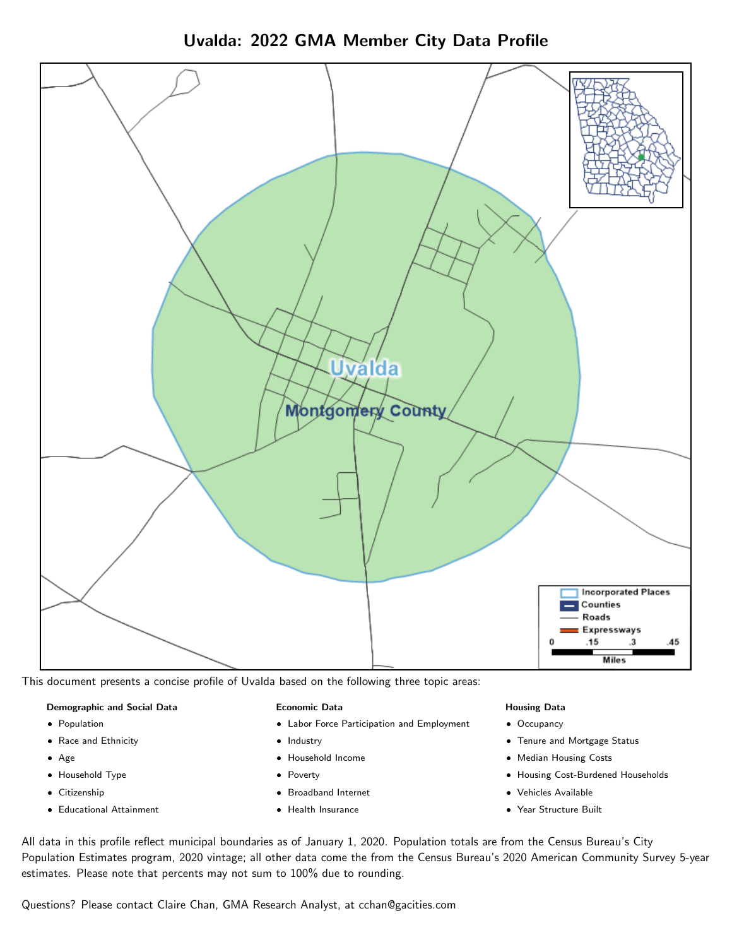Uvalda: 2022 GMA Member City Data Profile



This document presents a concise profile of Uvalda based on the following three topic areas:

#### Demographic and Social Data

- **•** Population
- Race and Ethnicity
- Age
- Household Type
- **Citizenship**
- Educational Attainment

#### Economic Data

- Labor Force Participation and Employment
- Industry
- Household Income
- Poverty
- Broadband Internet
- Health Insurance

#### Housing Data

- Occupancy
- Tenure and Mortgage Status
- Median Housing Costs
- Housing Cost-Burdened Households
- Vehicles Available
- Year Structure Built

All data in this profile reflect municipal boundaries as of January 1, 2020. Population totals are from the Census Bureau's City Population Estimates program, 2020 vintage; all other data come the from the Census Bureau's 2020 American Community Survey 5-year estimates. Please note that percents may not sum to 100% due to rounding.

Questions? Please contact Claire Chan, GMA Research Analyst, at [cchan@gacities.com.](mailto:cchan@gacities.com)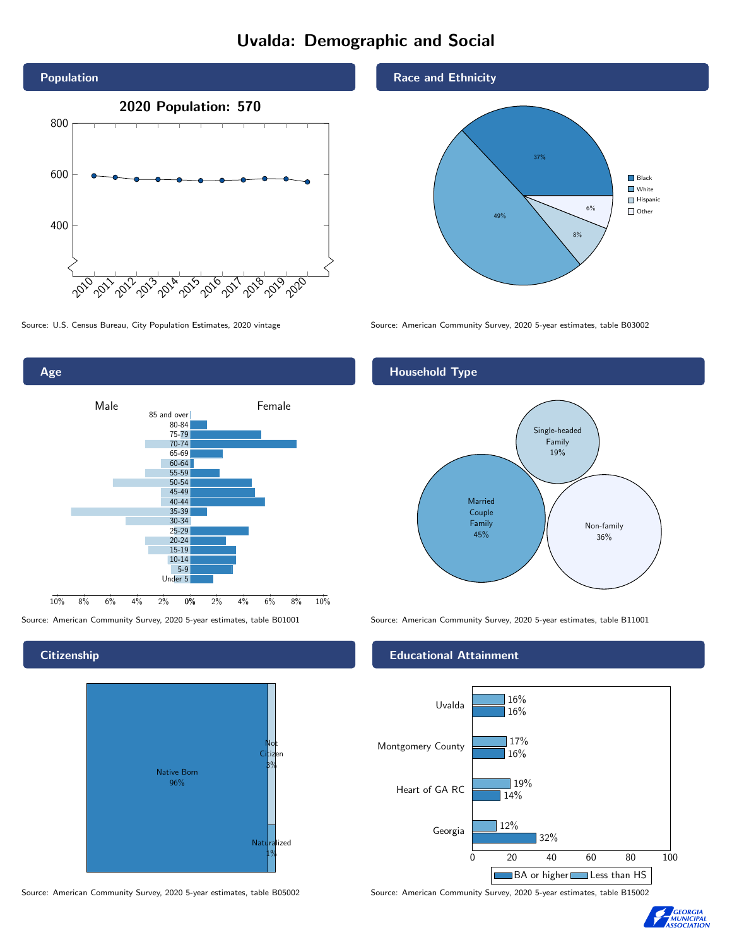# Uvalda: Demographic and Social





## **Citizenship**

Age



Source: American Community Survey, 2020 5-year estimates, table B05002 Source: American Community Survey, 2020 5-year estimates, table B15002

## Race and Ethnicity



Source: U.S. Census Bureau, City Population Estimates, 2020 vintage Source: American Community Survey, 2020 5-year estimates, table B03002

## Household Type



Source: American Community Survey, 2020 5-year estimates, table B01001 Source: American Community Survey, 2020 5-year estimates, table B11001

## Educational Attainment



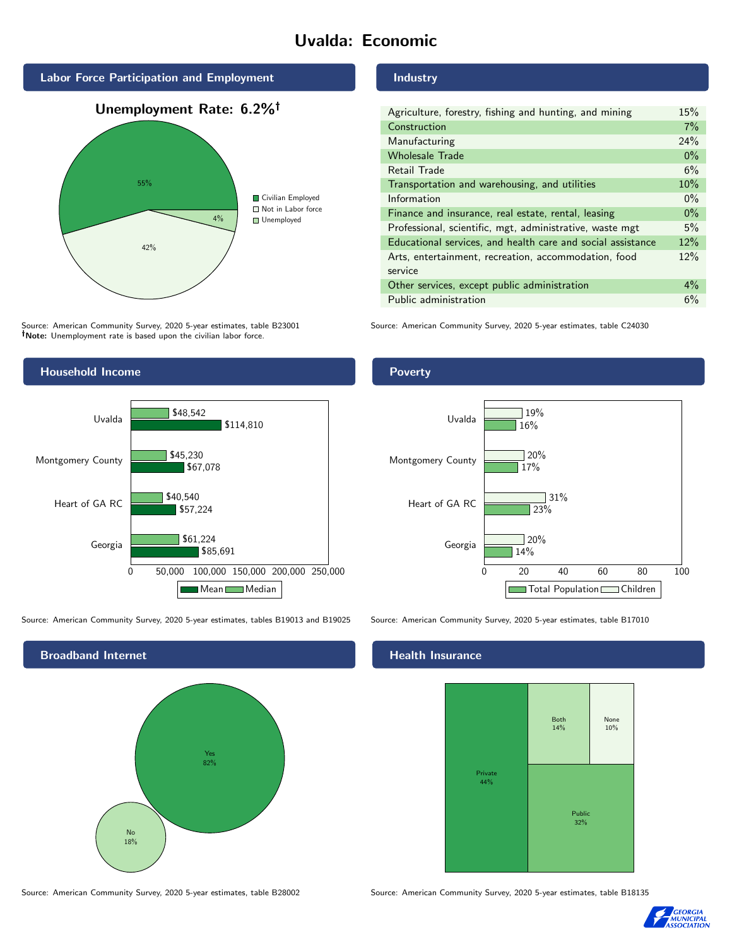# Uvalda: Economic



Source: American Community Survey, 2020 5-year estimates, table B23001 Note: Unemployment rate is based upon the civilian labor force.

## Household Income



Source: American Community Survey, 2020 5-year estimates, tables B19013 and B19025 Source: American Community Survey, 2020 5-year estimates, table B17010



Source: American Community Survey, 2020 5-year estimates, table B28002 Source: American Community Survey, 2020 5-year estimates, table B18135

#### Industry

| Agriculture, forestry, fishing and hunting, and mining      | 15%   |
|-------------------------------------------------------------|-------|
| Construction                                                | 7%    |
| Manufacturing                                               | 24%   |
| <b>Wholesale Trade</b>                                      | $0\%$ |
| Retail Trade                                                | 6%    |
| Transportation and warehousing, and utilities               | 10%   |
| Information                                                 | $0\%$ |
| Finance and insurance, real estate, rental, leasing         | $0\%$ |
| Professional, scientific, mgt, administrative, waste mgt    | 5%    |
| Educational services, and health care and social assistance | 12%   |
| Arts, entertainment, recreation, accommodation, food        | 12%   |
| service                                                     |       |
| Other services, except public administration                | $4\%$ |
| Public administration                                       | 6%    |

Source: American Community Survey, 2020 5-year estimates, table C24030

## Poverty



## Health Insurance